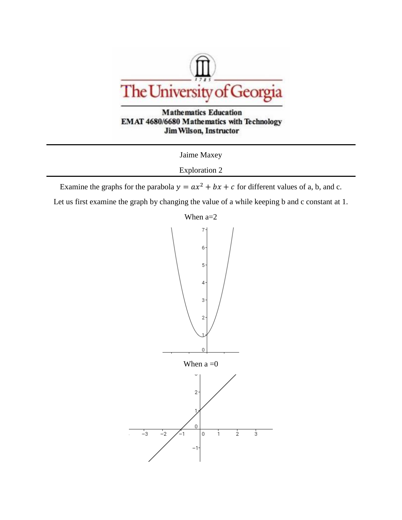



Jaime Maxey

Exploration 2

Examine the graphs for the parabola  $y = ax^2 + bx + c$  for different values of a, b, and c.

Let us first examine the graph by changing the value of a while keeping b and c constant at 1.

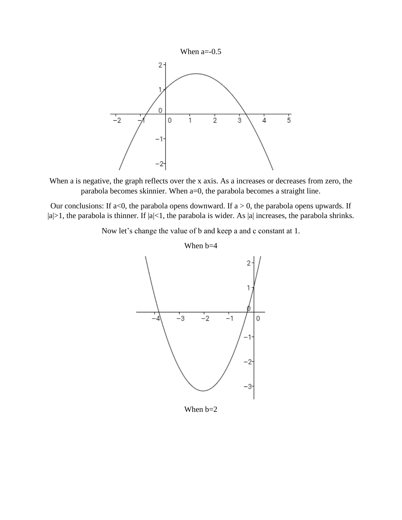

When a is negative, the graph reflects over the x axis. As a increases or decreases from zero, the parabola becomes skinnier. When a=0, the parabola becomes a straight line.

Our conclusions: If a<0, the parabola opens downward. If  $a > 0$ , the parabola opens upwards. If  $|a|>1$ , the parabola is thinner. If  $|a|<1$ , the parabola is wider. As  $|a|$  increases, the parabola shrinks.

Now let's change the value of b and keep a and c constant at 1.



When b=2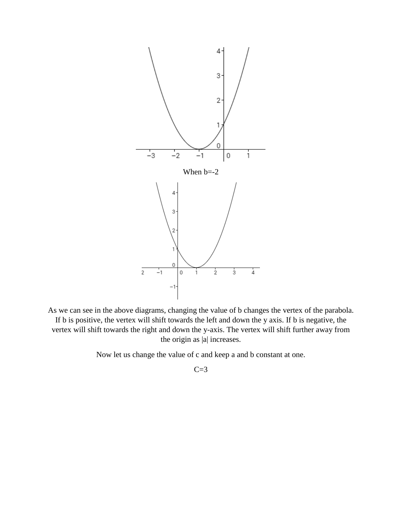

As we can see in the above diagrams, changing the value of b changes the vertex of the parabola. If b is positive, the vertex will shift towards the left and down the y axis. If b is negative, the vertex will shift towards the right and down the y-axis. The vertex will shift further away from the origin as |a| increases.

Now let us change the value of c and keep a and b constant at one.

 $C=3$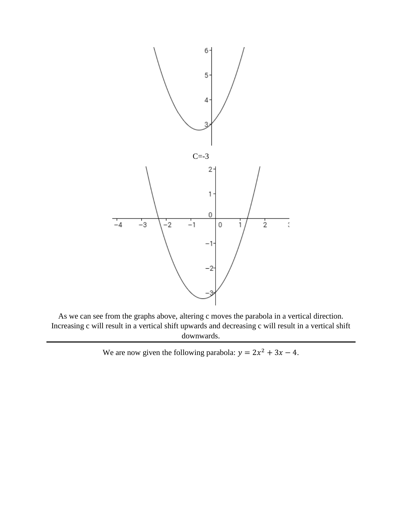

As we can see from the graphs above, altering c moves the parabola in a vertical direction. Increasing c will result in a vertical shift upwards and decreasing c will result in a vertical shift downwards.

We are now given the following parabola:  $y = 2x^2 + 3x - 4$ .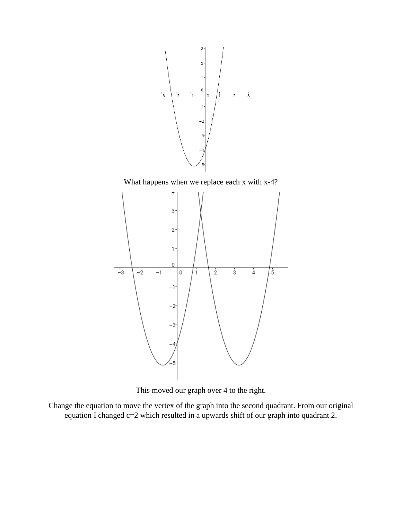

This moved our graph over 4 to the right.

Change the equation to move the vertex of the graph into the second quadrant. From our original equation I changed c=2 which resulted in a upwards shift of our graph into quadrant 2.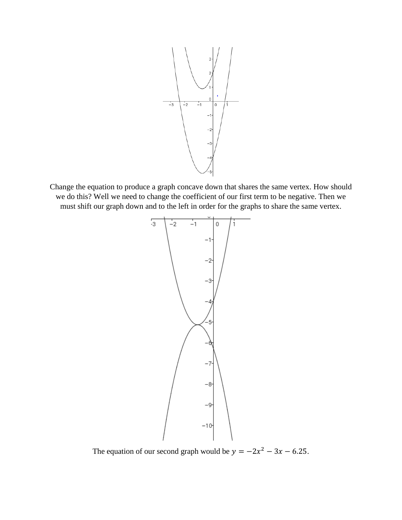

Change the equation to produce a graph concave down that shares the same vertex. How should we do this? Well we need to change the coefficient of our first term to be negative. Then we must shift our graph down and to the left in order for the graphs to share the same vertex.



The equation of our second graph would be  $y = -2x^2 - 3x - 6.25$ .